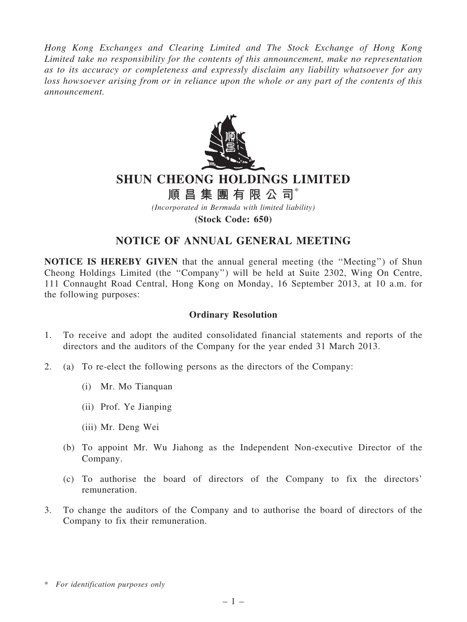*Hong Kong Exchanges and Clearing Limited and The Stock Exchange of Hong Kong Limited take no responsibility for the contents of this announcement, make no representation as to its accuracy or completeness and expressly disclaim any liability whatsoever for any loss howsoever arising from or in reliance upon the whole or any part of the contents of this announcement.*



# SHUN CHEONG HOLDINGS LIMITED

順 昌 集 團 有 限 公 司 $^*$ 

*(Incorporated in Bermuda with limited liability)*

(Stock Code: 650)

# NOTICE OF ANNUAL GENERAL MEETING

NOTICE IS HEREBY GIVEN that the annual general meeting (the ''Meeting'') of Shun Cheong Holdings Limited (the ''Company'') will be held at Suite 2302, Wing On Centre, 111 Connaught Road Central, Hong Kong on Monday, 16 September 2013, at 10 a.m. for the following purposes:

## Ordinary Resolution

- 1. To receive and adopt the audited consolidated financial statements and reports of the directors and the auditors of the Company for the year ended 31 March 2013.
- 2. (a) To re-elect the following persons as the directors of the Company:
	- (i) Mr. Mo Tianquan
	- (ii) Prof. Ye Jianping
	- (iii) Mr. Deng Wei
	- (b) To appoint Mr. Wu Jiahong as the Independent Non-executive Director of the Company.
	- (c) To authorise the board of directors of the Company to fix the directors' remuneration.
- 3. To change the auditors of the Company and to authorise the board of directors of the Company to fix their remuneration.

<sup>\*</sup> *For identification purposes only*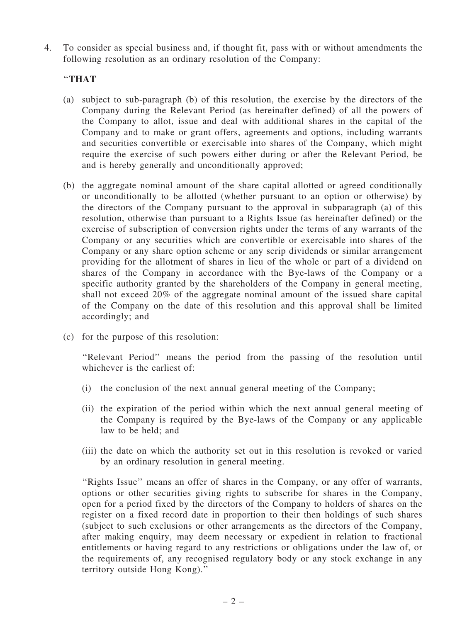4. To consider as special business and, if thought fit, pass with or without amendments the following resolution as an ordinary resolution of the Company:

# ''THAT

- (a) subject to sub-paragraph (b) of this resolution, the exercise by the directors of the Company during the Relevant Period (as hereinafter defined) of all the powers of the Company to allot, issue and deal with additional shares in the capital of the Company and to make or grant offers, agreements and options, including warrants and securities convertible or exercisable into shares of the Company, which might require the exercise of such powers either during or after the Relevant Period, be and is hereby generally and unconditionally approved;
- (b) the aggregate nominal amount of the share capital allotted or agreed conditionally or unconditionally to be allotted (whether pursuant to an option or otherwise) by the directors of the Company pursuant to the approval in subparagraph (a) of this resolution, otherwise than pursuant to a Rights Issue (as hereinafter defined) or the exercise of subscription of conversion rights under the terms of any warrants of the Company or any securities which are convertible or exercisable into shares of the Company or any share option scheme or any scrip dividends or similar arrangement providing for the allotment of shares in lieu of the whole or part of a dividend on shares of the Company in accordance with the Bye-laws of the Company or a specific authority granted by the shareholders of the Company in general meeting, shall not exceed 20% of the aggregate nominal amount of the issued share capital of the Company on the date of this resolution and this approval shall be limited accordingly; and
- (c) for the purpose of this resolution:

''Relevant Period'' means the period from the passing of the resolution until whichever is the earliest of:

- (i) the conclusion of the next annual general meeting of the Company;
- (ii) the expiration of the period within which the next annual general meeting of the Company is required by the Bye-laws of the Company or any applicable law to be held; and
- (iii) the date on which the authority set out in this resolution is revoked or varied by an ordinary resolution in general meeting.

''Rights Issue'' means an offer of shares in the Company, or any offer of warrants, options or other securities giving rights to subscribe for shares in the Company, open for a period fixed by the directors of the Company to holders of shares on the register on a fixed record date in proportion to their then holdings of such shares (subject to such exclusions or other arrangements as the directors of the Company, after making enquiry, may deem necessary or expedient in relation to fractional entitlements or having regard to any restrictions or obligations under the law of, or the requirements of, any recognised regulatory body or any stock exchange in any territory outside Hong Kong).''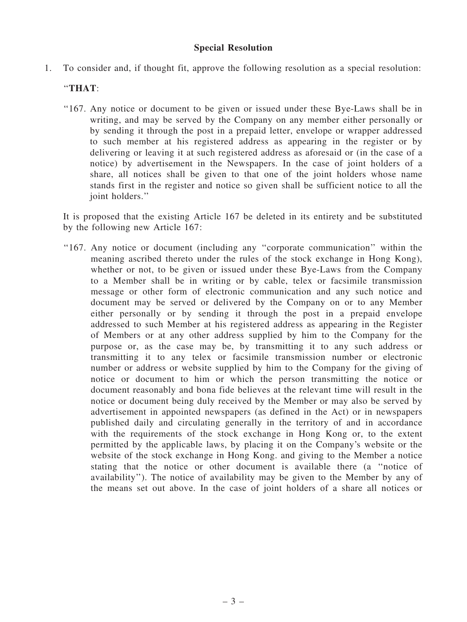### Special Resolution

1. To consider and, if thought fit, approve the following resolution as a special resolution:

# ''THAT:

''167. Any notice or document to be given or issued under these Bye-Laws shall be in writing, and may be served by the Company on any member either personally or by sending it through the post in a prepaid letter, envelope or wrapper addressed to such member at his registered address as appearing in the register or by delivering or leaving it at such registered address as aforesaid or (in the case of a notice) by advertisement in the Newspapers. In the case of joint holders of a share, all notices shall be given to that one of the joint holders whose name stands first in the register and notice so given shall be sufficient notice to all the joint holders."

It is proposed that the existing Article 167 be deleted in its entirety and be substituted by the following new Article 167:

''167. Any notice or document (including any ''corporate communication'' within the meaning ascribed thereto under the rules of the stock exchange in Hong Kong), whether or not, to be given or issued under these Bye-Laws from the Company to a Member shall be in writing or by cable, telex or facsimile transmission message or other form of electronic communication and any such notice and document may be served or delivered by the Company on or to any Member either personally or by sending it through the post in a prepaid envelope addressed to such Member at his registered address as appearing in the Register of Members or at any other address supplied by him to the Company for the purpose or, as the case may be, by transmitting it to any such address or transmitting it to any telex or facsimile transmission number or electronic number or address or website supplied by him to the Company for the giving of notice or document to him or which the person transmitting the notice or document reasonably and bona fide believes at the relevant time will result in the notice or document being duly received by the Member or may also be served by advertisement in appointed newspapers (as defined in the Act) or in newspapers published daily and circulating generally in the territory of and in accordance with the requirements of the stock exchange in Hong Kong or, to the extent permitted by the applicable laws, by placing it on the Company's website or the website of the stock exchange in Hong Kong. and giving to the Member a notice stating that the notice or other document is available there (a ''notice of availability''). The notice of availability may be given to the Member by any of the means set out above. In the case of joint holders of a share all notices or